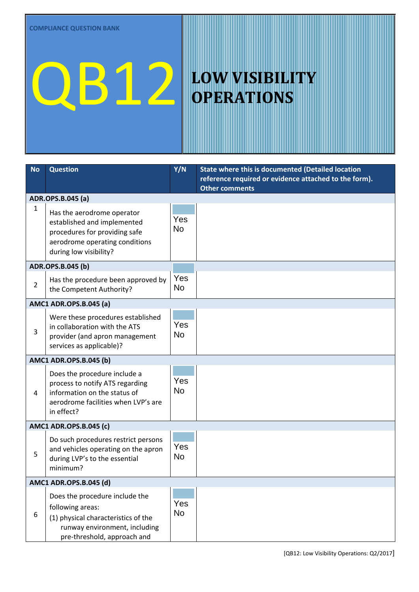## QB12 LOW VISIBILITY

## **OPERATIONS**

| <b>No</b>                     | <b>Question</b>                                                                                                                                           | Y/N              | State where this is documented (Detailed location<br>reference required or evidence attached to the form).<br><b>Other comments</b> |  |
|-------------------------------|-----------------------------------------------------------------------------------------------------------------------------------------------------------|------------------|-------------------------------------------------------------------------------------------------------------------------------------|--|
| ADR.OPS.B.045 (a)             |                                                                                                                                                           |                  |                                                                                                                                     |  |
| 1                             | Has the aerodrome operator<br>established and implemented<br>procedures for providing safe<br>aerodrome operating conditions<br>during low visibility?    | Yes<br><b>No</b> |                                                                                                                                     |  |
| ADR.OPS.B.045 (b)             |                                                                                                                                                           |                  |                                                                                                                                     |  |
| $\overline{2}$                | Has the procedure been approved by<br>the Competent Authority?                                                                                            | Yes<br><b>No</b> |                                                                                                                                     |  |
| <b>AMC1 ADR.OPS.B.045 (a)</b> |                                                                                                                                                           |                  |                                                                                                                                     |  |
| 3                             | Were these procedures established<br>in collaboration with the ATS<br>provider (and apron management<br>services as applicable)?                          | Yes<br><b>No</b> |                                                                                                                                     |  |
| <b>AMC1 ADR.OPS.B.045 (b)</b> |                                                                                                                                                           |                  |                                                                                                                                     |  |
| 4                             | Does the procedure include a<br>process to notify ATS regarding<br>information on the status of<br>aerodrome facilities when LVP's are<br>in effect?      | Yes<br><b>No</b> |                                                                                                                                     |  |
| AMC1 ADR.OPS.B.045 (c)        |                                                                                                                                                           |                  |                                                                                                                                     |  |
| 5                             | Do such procedures restrict persons<br>and vehicles operating on the apron<br>during LVP's to the essential<br>minimum?                                   | Yes<br><b>No</b> |                                                                                                                                     |  |
| AMC1 ADR.OPS.B.045 (d)        |                                                                                                                                                           |                  |                                                                                                                                     |  |
| 6                             | Does the procedure include the<br>following areas:<br>(1) physical characteristics of the<br>runway environment, including<br>pre-threshold, approach and | Yes<br>No        |                                                                                                                                     |  |